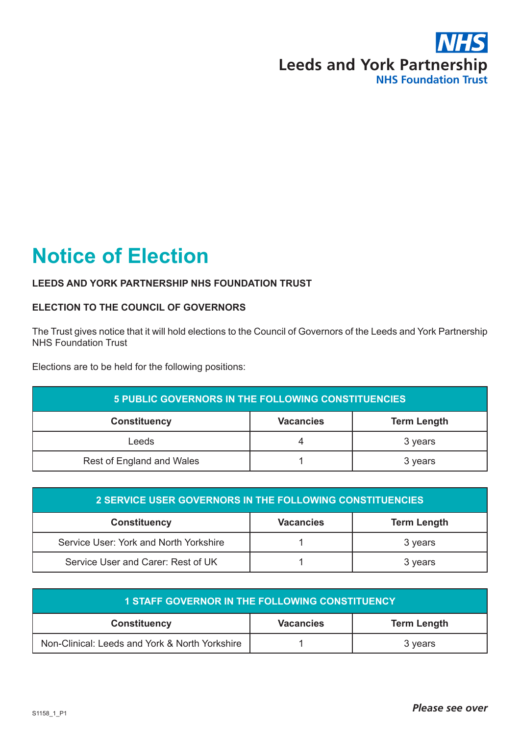

## **Notice of Election**

## **LEEDS AND YORK PARTNERSHIP NHS FOUNDATION TRUST**

## **ELECTION TO THE COUNCIL OF GOVERNORS**

The Trust gives notice that it will hold elections to the Council of Governors of the Leeds and York Partnership NHS Foundation Trust

Elections are to be held for the following positions:

| 5 PUBLIC GOVERNORS IN THE FOLLOWING CONSTITUENCIES |                  |                    |
|----------------------------------------------------|------------------|--------------------|
| <b>Constituency</b>                                | <b>Vacancies</b> | <b>Term Length</b> |
| Leeds                                              |                  | 3 years            |
| Rest of England and Wales                          |                  | 3 years            |

| 2 SERVICE USER GOVERNORS IN THE FOLLOWING CONSTITUENCIES |                  |                    |
|----------------------------------------------------------|------------------|--------------------|
| <b>Constituency</b>                                      | <b>Vacancies</b> | <b>Term Length</b> |
| Service User: York and North Yorkshire                   |                  | 3 years            |
| Service User and Carer: Rest of UK                       |                  | 3 years            |

| <b>1 STAFF GOVERNOR IN THE FOLLOWING CONSTITUENCY</b> |                  |                    |
|-------------------------------------------------------|------------------|--------------------|
| <b>Constituency</b>                                   | <b>Vacancies</b> | <b>Term Length</b> |
| Non-Clinical: Leeds and York & North Yorkshire        |                  | 3 years            |